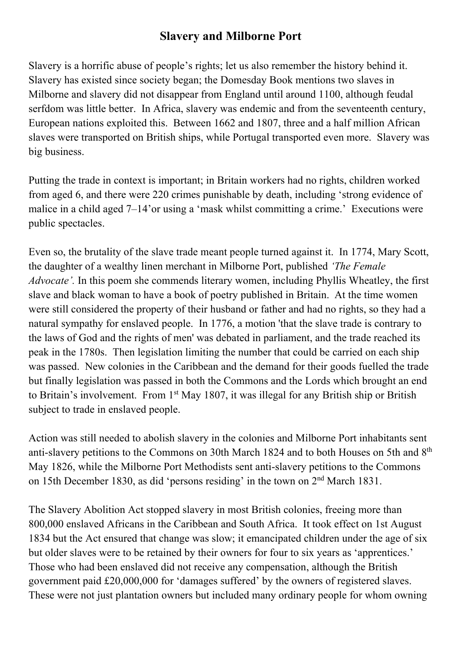## **Slavery and Milborne Port**

Slavery is a horrific abuse of people's rights; let us also remember the history behind it. Slavery has existed since society began; the Domesday Book mentions two slaves in Milborne and slavery did not disappear from England until around 1100, although feudal serfdom was little better. In Africa, slavery was endemic and from the seventeenth century, European nations exploited this. Between 1662 and 1807, three and a half million African slaves were transported on British ships, while Portugal transported even more. Slavery was big business.

Putting the trade in context is important; in Britain workers had no rights, children worked from aged 6, and there were 220 crimes punishable by death, including 'strong evidence of malice in a child aged 7–14'or using a 'mask whilst committing a crime.' Executions were public spectacles.

Even so, the brutality of the slave trade meant people turned against it. In 1774, Mary Scott, the daughter of a wealthy linen merchant in Milborne Port, published *'The Female Advocate'.* In this poem she commends literary women, including Phyllis Wheatley, the first slave and black woman to have a book of poetry published in Britain. At the time women were still considered the property of their husband or father and had no rights, so they had a natural sympathy for enslaved people. In 1776, a motion 'that the slave trade is contrary to the laws of God and the rights of men' was debated in parliament, and the trade reached its peak in the 1780s. Then legislation limiting the number that could be carried on each ship was passed. New colonies in the Caribbean and the demand for their goods fuelled the trade but finally legislation was passed in both the Commons and the Lords which brought an end to Britain's involvement. From 1st May 1807, it was illegal for any British ship or British subject to trade in enslaved people.

Action was still needed to abolish slavery in the colonies and Milborne Port inhabitants sent anti-slavery petitions to the Commons on 30th March 1824 and to both Houses on 5th and 8th May 1826, while the Milborne Port Methodists sent anti-slavery petitions to the Commons on 15th December 1830, as did 'persons residing' in the town on 2nd March 1831.

The Slavery Abolition Act stopped slavery in most British colonies, freeing more than 800,000 enslaved Africans in the Caribbean and South Africa. It took effect on 1st August 1834 but the Act ensured that change was slow; it emancipated children under the age of six but older slaves were to be retained by their owners for four to six years as 'apprentices.' Those who had been enslaved did not receive any compensation, although the British government paid £20,000,000 for 'damages suffered' by the owners of registered slaves. These were not just plantation owners but included many ordinary people for whom owning